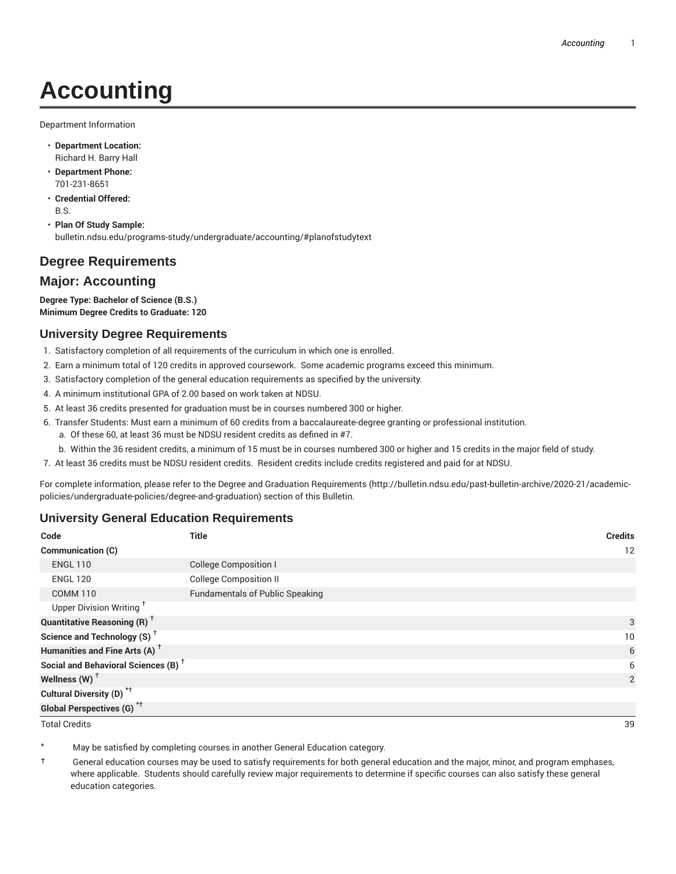# **Accounting**

Department Information

- **Department Location:** Richard H. Barry Hall
- **Department Phone:** 701-231-8651
- **Credential Offered:** B.S.
- **Plan Of Study Sample:** bulletin.ndsu.edu/programs-study/undergraduate/accounting/#planofstudytext

## **Degree Requirements**

### **Major: Accounting**

**Degree Type: Bachelor of Science (B.S.) Minimum Degree Credits to Graduate: 120**

### **University Degree Requirements**

- 1. Satisfactory completion of all requirements of the curriculum in which one is enrolled.
- 2. Earn a minimum total of 120 credits in approved coursework. Some academic programs exceed this minimum.
- 3. Satisfactory completion of the general education requirements as specified by the university.
- 4. A minimum institutional GPA of 2.00 based on work taken at NDSU.
- 5. At least 36 credits presented for graduation must be in courses numbered 300 or higher.
- 6. Transfer Students: Must earn a minimum of 60 credits from a baccalaureate-degree granting or professional institution.
	- a. Of these 60, at least 36 must be NDSU resident credits as defined in #7.
	- b. Within the 36 resident credits, a minimum of 15 must be in courses numbered 300 or higher and 15 credits in the major field of study.
- 7. At least 36 credits must be NDSU resident credits. Resident credits include credits registered and paid for at NDSU.

For complete information, please refer to the Degree and Graduation Requirements (http://bulletin.ndsu.edu/past-bulletin-archive/2020-21/academicpolicies/undergraduate-policies/degree-and-graduation) section of this Bulletin.

#### **University General Education Requirements**

| Code                                            | <b>Title</b>                           | <b>Credits</b> |
|-------------------------------------------------|----------------------------------------|----------------|
| Communication (C)                               |                                        | 12             |
| <b>ENGL 110</b>                                 | <b>College Composition I</b>           |                |
| <b>ENGL 120</b>                                 | <b>College Composition II</b>          |                |
| <b>COMM 110</b>                                 | <b>Fundamentals of Public Speaking</b> |                |
| Upper Division Writing <sup>+</sup>             |                                        |                |
| <b>Quantitative Reasoning (R)</b> <sup>†</sup>  |                                        | 3              |
| Science and Technology (S) <sup>+</sup>         |                                        | 10             |
| Humanities and Fine Arts (A) <sup>+</sup>       |                                        | 6              |
| Social and Behavioral Sciences (B) <sup>+</sup> |                                        | 6              |
| Wellness (W) $^\dagger$                         |                                        | 2              |
| Cultural Diversity (D) <sup>*†</sup>            |                                        |                |
| <b>Global Perspectives (G)<sup>*†</sup></b>     |                                        |                |
| <b>Total Credits</b>                            |                                        | 39             |

May be satisfied by completing courses in another General Education category.

† General education courses may be used to satisfy requirements for both general education and the major, minor, and program emphases, where applicable. Students should carefully review major requirements to determine if specific courses can also satisfy these general education categories.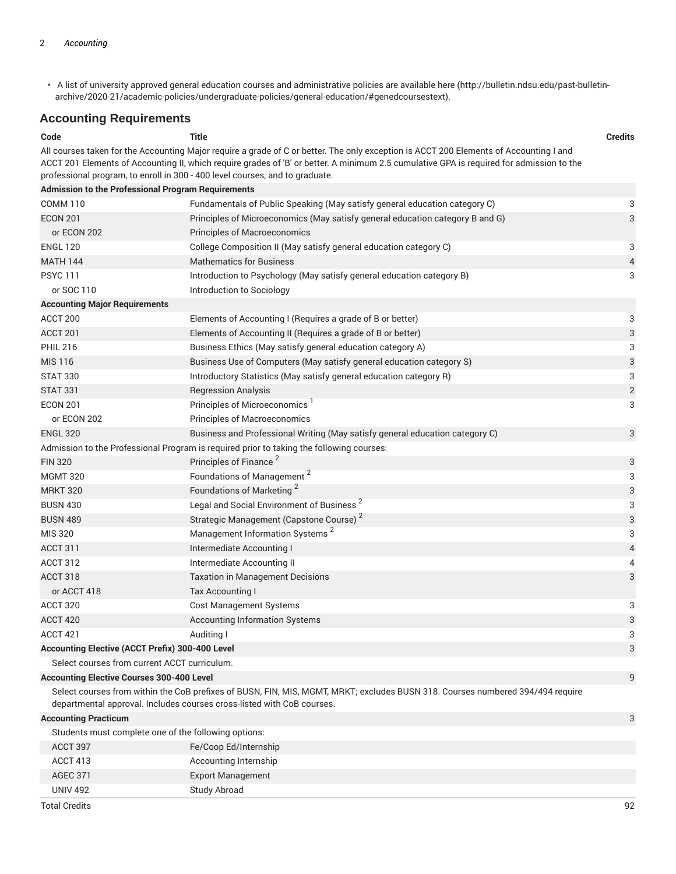• A list of university approved general education courses and administrative policies are available here (http://bulletin.ndsu.edu/past-bulletinarchive/2020-21/academic-policies/undergraduate-policies/general-education/#genedcoursestext).

## **Accounting Requirements**

| Code                                                      | Title                                                                                                                                                                                                                                                                                                                                                              | <b>Credits</b>            |
|-----------------------------------------------------------|--------------------------------------------------------------------------------------------------------------------------------------------------------------------------------------------------------------------------------------------------------------------------------------------------------------------------------------------------------------------|---------------------------|
|                                                           | All courses taken for the Accounting Major require a grade of C or better. The only exception is ACCT 200 Elements of Accounting I and<br>ACCT 201 Elements of Accounting II, which require grades of 'B' or better. A minimum 2.5 cumulative GPA is required for admission to the<br>professional program, to enroll in 300 - 400 level courses, and to graduate. |                           |
| <b>Admission to the Professional Program Requirements</b> |                                                                                                                                                                                                                                                                                                                                                                    |                           |
| <b>COMM 110</b>                                           | Fundamentals of Public Speaking (May satisfy general education category C)                                                                                                                                                                                                                                                                                         | 3                         |
| <b>ECON 201</b>                                           | Principles of Microeconomics (May satisfy general education category B and G)                                                                                                                                                                                                                                                                                      | 3                         |
| or ECON 202                                               | <b>Principles of Macroeconomics</b>                                                                                                                                                                                                                                                                                                                                |                           |
| <b>ENGL 120</b>                                           | College Composition II (May satisfy general education category C)                                                                                                                                                                                                                                                                                                  | 3                         |
| <b>MATH 144</b>                                           | <b>Mathematics for Business</b>                                                                                                                                                                                                                                                                                                                                    | $\overline{4}$            |
| <b>PSYC111</b>                                            | Introduction to Psychology (May satisfy general education category B)                                                                                                                                                                                                                                                                                              | 3                         |
| or SOC 110                                                | Introduction to Sociology                                                                                                                                                                                                                                                                                                                                          |                           |
| <b>Accounting Major Requirements</b>                      |                                                                                                                                                                                                                                                                                                                                                                    |                           |
| ACCT 200                                                  | Elements of Accounting I (Requires a grade of B or better)                                                                                                                                                                                                                                                                                                         | 3                         |
| ACCT 201                                                  | Elements of Accounting II (Requires a grade of B or better)                                                                                                                                                                                                                                                                                                        | $\ensuremath{\mathsf{3}}$ |
| <b>PHIL 216</b>                                           | Business Ethics (May satisfy general education category A)                                                                                                                                                                                                                                                                                                         | 3                         |
| MIS 116                                                   | Business Use of Computers (May satisfy general education category S)                                                                                                                                                                                                                                                                                               | 3                         |
| <b>STAT 330</b>                                           | Introductory Statistics (May satisfy general education category R)                                                                                                                                                                                                                                                                                                 | 3                         |
| <b>STAT 331</b>                                           | <b>Regression Analysis</b>                                                                                                                                                                                                                                                                                                                                         | $\overline{2}$            |
| <b>ECON 201</b>                                           | Principles of Microeconomics <sup>1</sup>                                                                                                                                                                                                                                                                                                                          | 3                         |
| or ECON 202                                               | <b>Principles of Macroeconomics</b>                                                                                                                                                                                                                                                                                                                                |                           |
| <b>ENGL 320</b>                                           | Business and Professional Writing (May satisfy general education category C)                                                                                                                                                                                                                                                                                       | 3                         |
|                                                           | Admission to the Professional Program is required prior to taking the following courses:                                                                                                                                                                                                                                                                           |                           |
| <b>FIN 320</b>                                            | Principles of Finance <sup>2</sup>                                                                                                                                                                                                                                                                                                                                 | 3                         |
| <b>MGMT 320</b>                                           | Foundations of Management <sup>2</sup>                                                                                                                                                                                                                                                                                                                             | 3                         |
| <b>MRKT 320</b>                                           | Foundations of Marketing <sup>2</sup>                                                                                                                                                                                                                                                                                                                              | $\ensuremath{\mathsf{3}}$ |
| <b>BUSN 430</b>                                           | Legal and Social Environment of Business <sup>2</sup>                                                                                                                                                                                                                                                                                                              | 3                         |
| <b>BUSN 489</b>                                           | Strategic Management (Capstone Course) <sup>2</sup>                                                                                                                                                                                                                                                                                                                | 3                         |
| <b>MIS 320</b>                                            | Management Information Systems <sup>2</sup>                                                                                                                                                                                                                                                                                                                        | 3                         |
| ACCT 311                                                  | Intermediate Accounting I                                                                                                                                                                                                                                                                                                                                          | $\overline{4}$            |
| ACCT 312                                                  | Intermediate Accounting II                                                                                                                                                                                                                                                                                                                                         | 4                         |
| ACCT 318                                                  | <b>Taxation in Management Decisions</b>                                                                                                                                                                                                                                                                                                                            | 3                         |
| or ACCT 418                                               | Tax Accounting I                                                                                                                                                                                                                                                                                                                                                   |                           |
| ACCT 320                                                  | <b>Cost Management Systems</b>                                                                                                                                                                                                                                                                                                                                     | 3                         |
| ACCT 420                                                  | Accounting Information Systems                                                                                                                                                                                                                                                                                                                                     | 3                         |
| ACCT 421                                                  | Auditing I                                                                                                                                                                                                                                                                                                                                                         | 3                         |
| Accounting Elective (ACCT Prefix) 300-400 Level           |                                                                                                                                                                                                                                                                                                                                                                    | 3                         |
| Select courses from current ACCT curriculum.              |                                                                                                                                                                                                                                                                                                                                                                    |                           |
| <b>Accounting Elective Courses 300-400 Level</b>          |                                                                                                                                                                                                                                                                                                                                                                    | 9                         |
|                                                           | Select courses from within the CoB prefixes of BUSN, FIN, MIS, MGMT, MRKT; excludes BUSN 318. Courses numbered 394/494 require<br>departmental approval. Includes courses cross-listed with CoB courses.                                                                                                                                                           |                           |
| <b>Accounting Practicum</b><br>3                          |                                                                                                                                                                                                                                                                                                                                                                    |                           |

| Students must complete one of the following options: |                          |
|------------------------------------------------------|--------------------------|
| ACCT 397                                             | Fe/Coop Ed/Internship    |
| ACCT 413                                             | Accounting Internship    |
| <b>AGEC 371</b>                                      | <b>Export Management</b> |
| <b>UNIV 492</b>                                      | Study Abroad             |